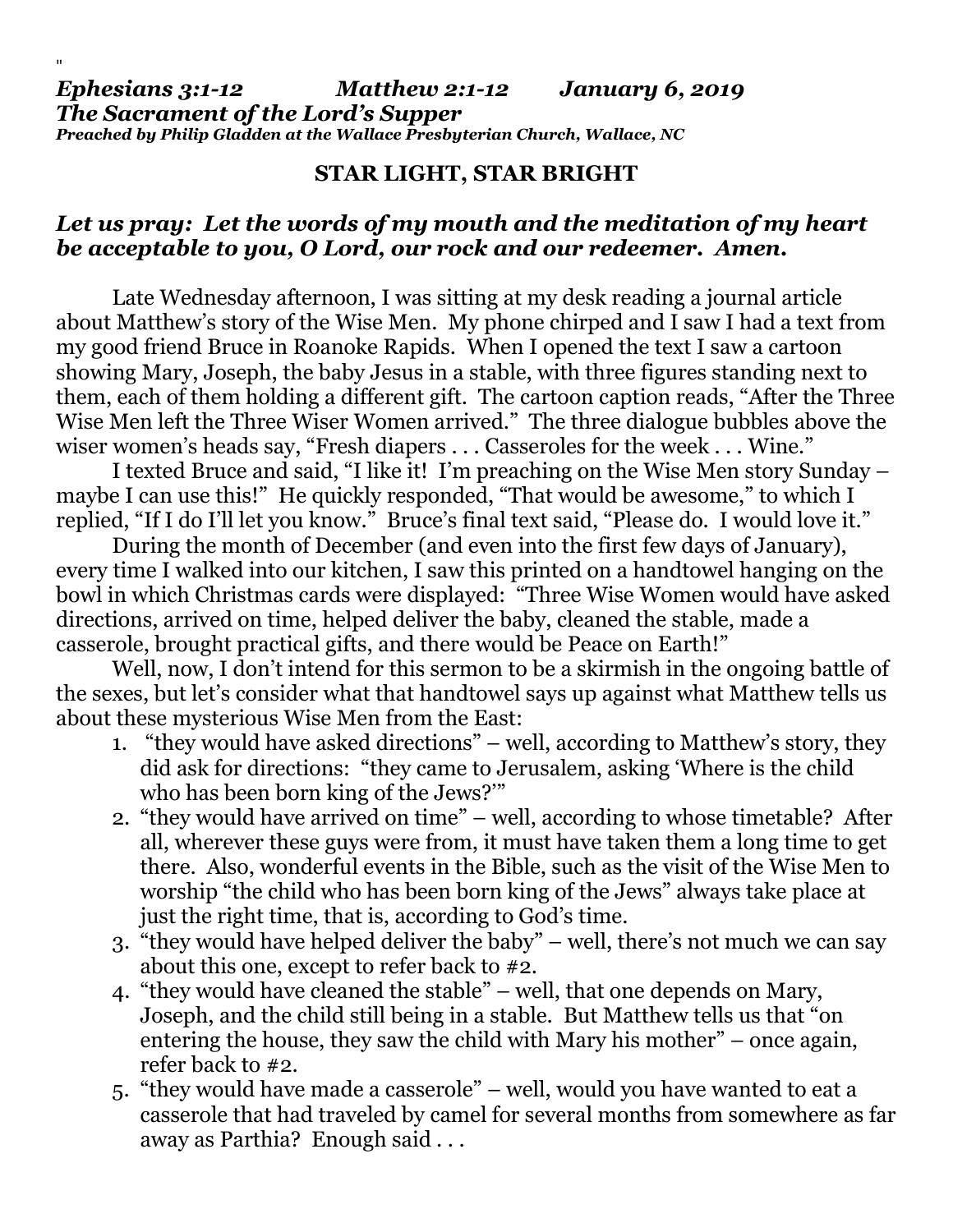## *Ephesians 3:1-12 Matthew 2:1-12 January 6, 2019 The Sacrament of the Lord's Supper Preached by Philip Gladden at the Wallace Presbyterian Church, Wallace, NC*

"

## **STAR LIGHT, STAR BRIGHT**

## *Let us pray: Let the words of my mouth and the meditation of my heart be acceptable to you, O Lord, our rock and our redeemer. Amen.*

Late Wednesday afternoon, I was sitting at my desk reading a journal article about Matthew's story of the Wise Men. My phone chirped and I saw I had a text from my good friend Bruce in Roanoke Rapids. When I opened the text I saw a cartoon showing Mary, Joseph, the baby Jesus in a stable, with three figures standing next to them, each of them holding a different gift. The cartoon caption reads, "After the Three Wise Men left the Three Wiser Women arrived." The three dialogue bubbles above the wiser women's heads say, "Fresh diapers . . . Casseroles for the week . . . Wine."

I texted Bruce and said, "I like it! I'm preaching on the Wise Men story Sunday – maybe I can use this!" He quickly responded, "That would be awesome," to which I replied, "If I do I'll let you know." Bruce's final text said, "Please do. I would love it."

During the month of December (and even into the first few days of January), every time I walked into our kitchen, I saw this printed on a handtowel hanging on the bowl in which Christmas cards were displayed: "Three Wise Women would have asked directions, arrived on time, helped deliver the baby, cleaned the stable, made a casserole, brought practical gifts, and there would be Peace on Earth!"

Well, now, I don't intend for this sermon to be a skirmish in the ongoing battle of the sexes, but let's consider what that handtowel says up against what Matthew tells us about these mysterious Wise Men from the East:

- 1. "they would have asked directions" well, according to Matthew's story, they did ask for directions: "they came to Jerusalem, asking 'Where is the child who has been born king of the Jews?'"
- 2. "they would have arrived on time" well, according to whose timetable? After all, wherever these guys were from, it must have taken them a long time to get there. Also, wonderful events in the Bible, such as the visit of the Wise Men to worship "the child who has been born king of the Jews" always take place at just the right time, that is, according to God's time.
- 3. "they would have helped deliver the baby" well, there's not much we can say about this one, except to refer back to #2.
- 4. "they would have cleaned the stable" well, that one depends on Mary, Joseph, and the child still being in a stable. But Matthew tells us that "on entering the house, they saw the child with Mary his mother" – once again, refer back to #2.
- 5. "they would have made a casserole" well, would you have wanted to eat a casserole that had traveled by camel for several months from somewhere as far away as Parthia? Enough said . . .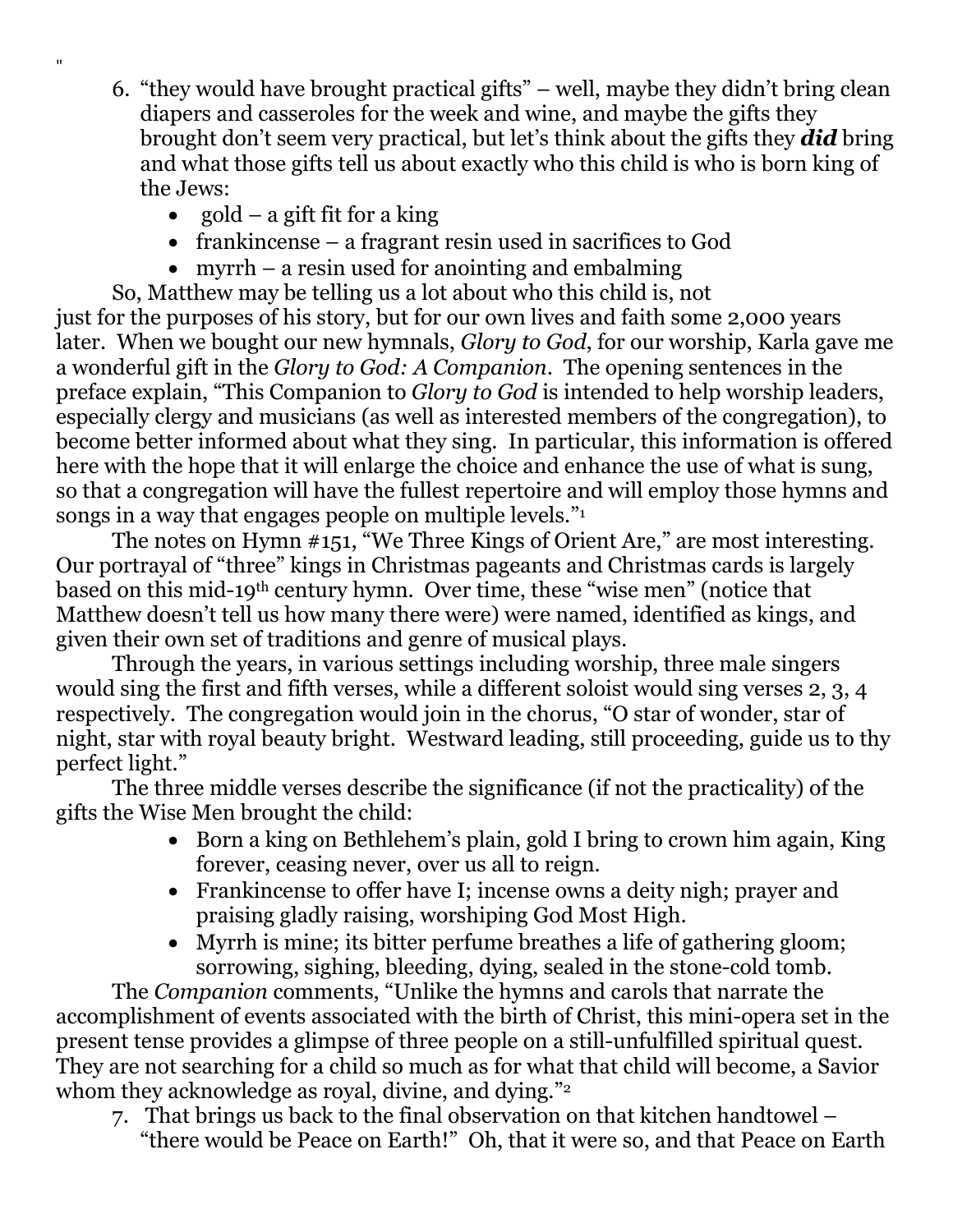- 6. "they would have brought practical gifts" well, maybe they didn't bring clean diapers and casseroles for the week and wine, and maybe the gifts they brought don't seem very practical, but let's think about the gifts they *did* bring and what those gifts tell us about exactly who this child is who is born king of the Jews:
	- gold a gift fit for a king

 $^{\rm{II}}$ 

- frankincense a fragrant resin used in sacrifices to God
- myrrh a resin used for anointing and embalming

So, Matthew may be telling us a lot about who this child is, not just for the purposes of his story, but for our own lives and faith some 2,000 years later. When we bought our new hymnals, *Glory to God*, for our worship, Karla gave me a wonderful gift in the *Glory to God: A Companion*. The opening sentences in the preface explain, "This Companion to *Glory to God* is intended to help worship leaders, especially clergy and musicians (as well as interested members of the congregation), to become better informed about what they sing. In particular, this information is offered here with the hope that it will enlarge the choice and enhance the use of what is sung, so that a congregation will have the fullest repertoire and will employ those hymns and songs in a way that engages people on multiple levels."

The notes on Hymn #151, "We Three Kings of Orient Are," are most interesting. Our portrayal of "three" kings in Christmas pageants and Christmas cards is largely based on this mid-19th century hymn. Over time, these "wise men" (notice that Matthew doesn't tell us how many there were) were named, identified as kings, and given their own set of traditions and genre of musical plays.

Through the years, in various settings including worship, three male singers would sing the first and fifth verses, while a different soloist would sing verses 2, 3, 4 respectively. The congregation would join in the chorus, "O star of wonder, star of night, star with royal beauty bright. Westward leading, still proceeding, guide us to thy perfect light."

The three middle verses describe the significance (if not the practicality) of the gifts the Wise Men brought the child:

- Born a king on Bethlehem's plain, gold I bring to crown him again, King forever, ceasing never, over us all to reign.
- Frankincense to offer have I; incense owns a deity nigh; prayer and praising gladly raising, worshiping God Most High.
- Myrrh is mine; its bitter perfume breathes a life of gathering gloom; sorrowing, sighing, bleeding, dying, sealed in the stone-cold tomb.

The *Companion* comments, "Unlike the hymns and carols that narrate the accomplishment of events associated with the birth of Christ, this mini-opera set in the present tense provides a glimpse of three people on a still-unfulfilled spiritual quest. They are not searching for a child so much as for what that child will become, a Savior whom they acknowledge as royal, divine, and dying."<sup>2</sup>

7. That brings us back to the final observation on that kitchen handtowel – "there would be Peace on Earth!" Oh, that it were so, and that Peace on Earth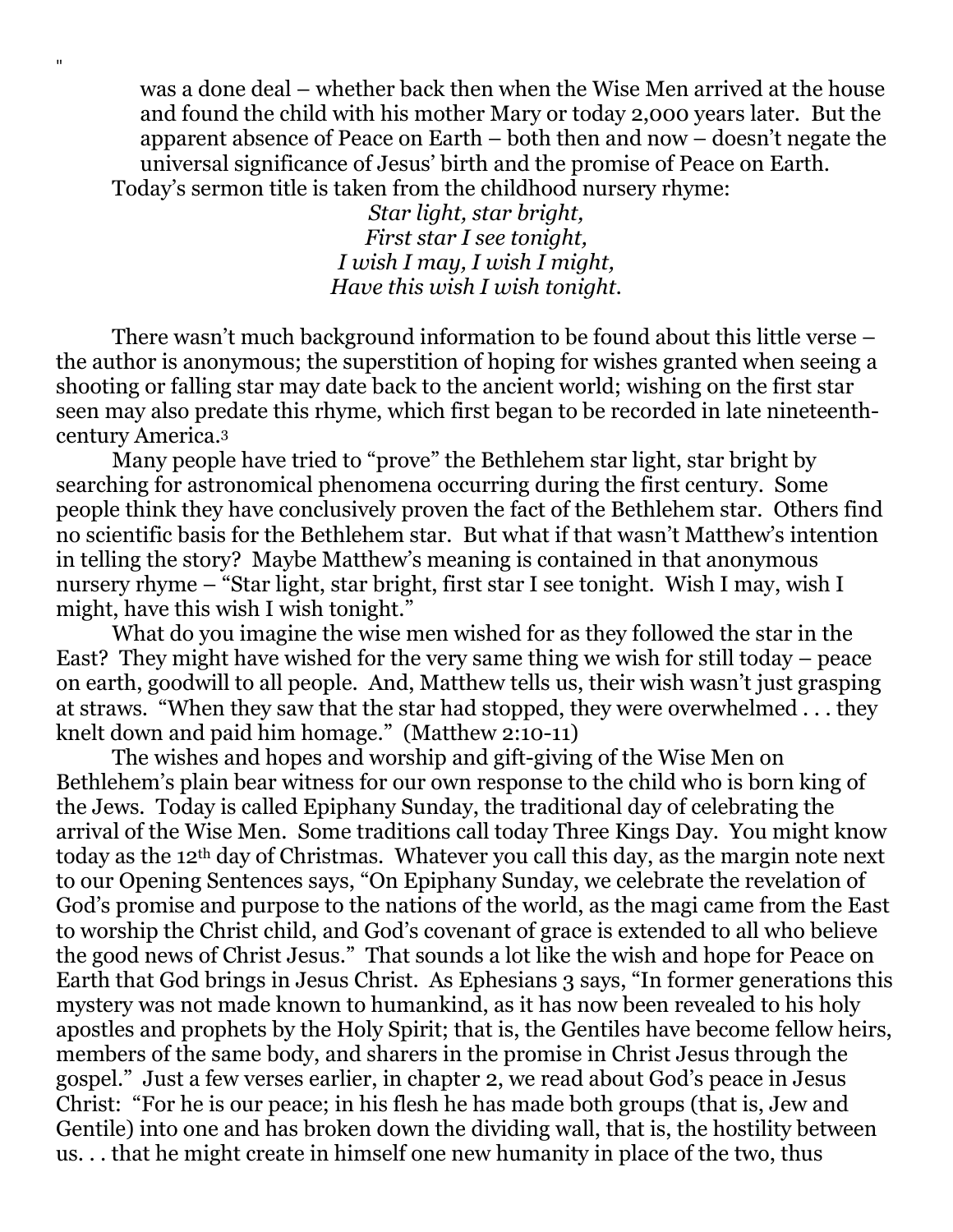was a done deal – whether back then when the Wise Men arrived at the house and found the child with his mother Mary or today 2,000 years later. But the apparent absence of Peace on Earth – both then and now – doesn't negate the universal significance of Jesus' birth and the promise of Peace on Earth. Today's sermon title is taken from the childhood nursery rhyme:

> *Star light, star bright, First star I see tonight, I wish I may, I wish I might, Have this wish I wish tonight.*

"

There wasn't much background information to be found about this little verse – the author is anonymous; the superstition of hoping for wishes granted when seeing a shooting or falling star may date back to the ancient world; wishing on the first star seen may also predate this rhyme, which first began to be recorded in late nineteenthcentury America.<sup>3</sup>

Many people have tried to "prove" the Bethlehem star light, star bright by searching for astronomical phenomena occurring during the first century. Some people think they have conclusively proven the fact of the Bethlehem star. Others find no scientific basis for the Bethlehem star. But what if that wasn't Matthew's intention in telling the story? Maybe Matthew's meaning is contained in that anonymous nursery rhyme – "Star light, star bright, first star I see tonight. Wish I may, wish I might, have this wish I wish tonight."

What do you imagine the wise men wished for as they followed the star in the East? They might have wished for the very same thing we wish for still today – peace on earth, goodwill to all people. And, Matthew tells us, their wish wasn't just grasping at straws. "When they saw that the star had stopped, they were overwhelmed . . . they knelt down and paid him homage." (Matthew 2:10-11)

The wishes and hopes and worship and gift-giving of the Wise Men on Bethlehem's plain bear witness for our own response to the child who is born king of the Jews. Today is called Epiphany Sunday, the traditional day of celebrating the arrival of the Wise Men. Some traditions call today Three Kings Day. You might know today as the 12th day of Christmas. Whatever you call this day, as the margin note next to our Opening Sentences says, "On Epiphany Sunday, we celebrate the revelation of God's promise and purpose to the nations of the world, as the magi came from the East to worship the Christ child, and God's covenant of grace is extended to all who believe the good news of Christ Jesus." That sounds a lot like the wish and hope for Peace on Earth that God brings in Jesus Christ. As Ephesians 3 says, "In former generations this mystery was not made known to humankind, as it has now been revealed to his holy apostles and prophets by the Holy Spirit; that is, the Gentiles have become fellow heirs, members of the same body, and sharers in the promise in Christ Jesus through the gospel." Just a few verses earlier, in chapter 2, we read about God's peace in Jesus Christ: "For he is our peace; in his flesh he has made both groups (that is, Jew and Gentile) into one and has broken down the dividing wall, that is, the hostility between us. . . that he might create in himself one new humanity in place of the two, thus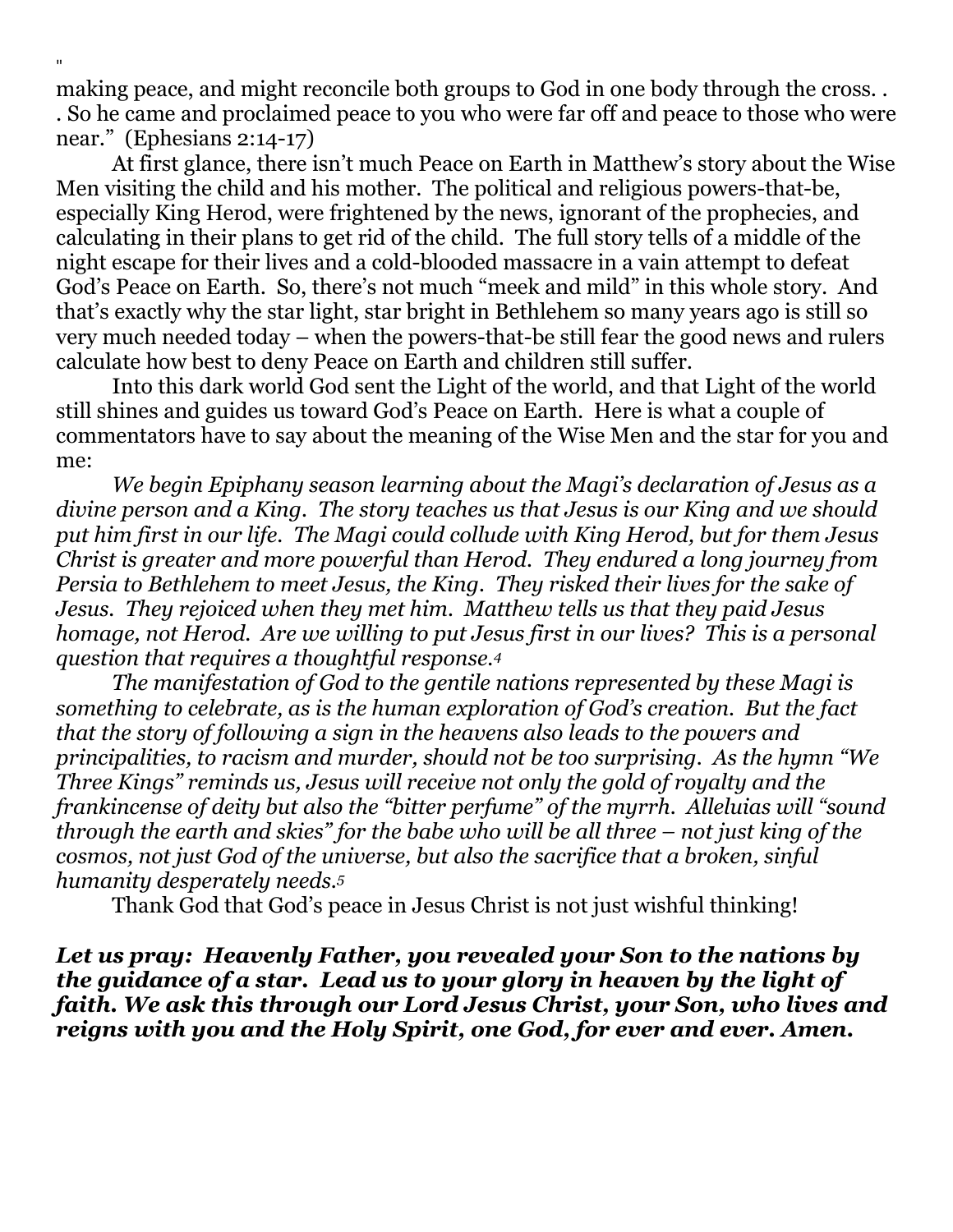making peace, and might reconcile both groups to God in one body through the cross. . . So he came and proclaimed peace to you who were far off and peace to those who were near." (Ephesians 2:14-17)

"

At first glance, there isn't much Peace on Earth in Matthew's story about the Wise Men visiting the child and his mother. The political and religious powers-that-be, especially King Herod, were frightened by the news, ignorant of the prophecies, and calculating in their plans to get rid of the child. The full story tells of a middle of the night escape for their lives and a cold-blooded massacre in a vain attempt to defeat God's Peace on Earth. So, there's not much "meek and mild" in this whole story. And that's exactly why the star light, star bright in Bethlehem so many years ago is still so very much needed today – when the powers-that-be still fear the good news and rulers calculate how best to deny Peace on Earth and children still suffer.

Into this dark world God sent the Light of the world, and that Light of the world still shines and guides us toward God's Peace on Earth. Here is what a couple of commentators have to say about the meaning of the Wise Men and the star for you and me:

*We begin Epiphany season learning about the Magi's declaration of Jesus as a divine person and a King. The story teaches us that Jesus is our King and we should put him first in our life. The Magi could collude with King Herod, but for them Jesus Christ is greater and more powerful than Herod. They endured a long journey from Persia to Bethlehem to meet Jesus, the King. They risked their lives for the sake of Jesus. They rejoiced when they met him. Matthew tells us that they paid Jesus homage, not Herod. Are we willing to put Jesus first in our lives? This is a personal question that requires a thoughtful response.<sup>4</sup>*

*The manifestation of God to the gentile nations represented by these Magi is something to celebrate, as is the human exploration of God's creation. But the fact that the story of following a sign in the heavens also leads to the powers and principalities, to racism and murder, should not be too surprising. As the hymn "We Three Kings" reminds us, Jesus will receive not only the gold of royalty and the frankincense of deity but also the "bitter perfume" of the myrrh. Alleluias will "sound through the earth and skies" for the babe who will be all three – not just king of the cosmos, not just God of the universe, but also the sacrifice that a broken, sinful humanity desperately needs.<sup>5</sup>*

Thank God that God's peace in Jesus Christ is not just wishful thinking!

*Let us pray: Heavenly Father, you revealed your Son to the nations by the guidance of a star. Lead us to your glory in heaven by the light of faith. We ask this through our Lord Jesus Christ, your Son, who lives and reigns with you and the Holy Spirit, one God, for ever and ever. Amen.*